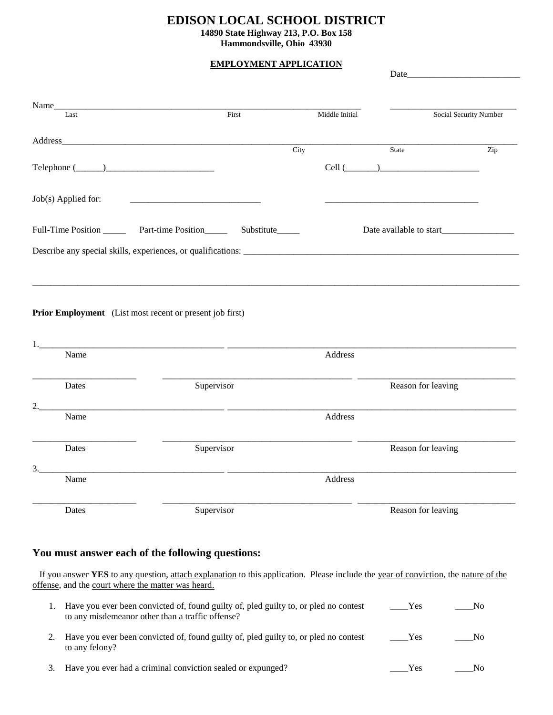## **EDISON LOCAL SCHOOL DISTRICT**

**14890 State Highway 213, P.O. Box 158**

#### **Hammondsville, Ohio 43930**

### **EMPLOYMENT APPLICATION**

|                                                                |                                                                              |                | Date                     |                        |
|----------------------------------------------------------------|------------------------------------------------------------------------------|----------------|--------------------------|------------------------|
|                                                                |                                                                              |                |                          |                        |
| Name_<br>Last                                                  | First                                                                        | Middle Initial |                          | Social Security Number |
|                                                                |                                                                              |                |                          |                        |
| $\text{Telephone} (\_\_\_\_\_\_\_\_\_\$                        | City                                                                         |                | State<br>$Cell$ $(\_\_)$ | Zip                    |
| Job(s) Applied for:                                            |                                                                              |                |                          |                        |
|                                                                | Full-Time Position _________ Part-time Position __________ Substitute_______ |                |                          |                        |
|                                                                |                                                                              |                |                          |                        |
| Prior Employment (List most recent or present job first)<br>1. | <u> 1980 - Jan Stein Stein, amerikansk politik (</u>                         |                |                          |                        |
| Name                                                           |                                                                              | Address        |                          |                        |
| Dates                                                          | Supervisor                                                                   |                | Reason for leaving       |                        |
|                                                                |                                                                              |                |                          |                        |
| Name                                                           |                                                                              | Address        |                          |                        |
| Dates                                                          | Supervisor                                                                   |                | Reason for leaving       |                        |
| 3.                                                             |                                                                              |                |                          |                        |
| Name                                                           |                                                                              |                |                          |                        |
|                                                                |                                                                              | Address        |                          |                        |

# **You must answer each of the following questions:**

 If you answer **YES** to any question, attach explanation to this application. Please include the year of conviction, the nature of the offense, and the court where the matter was heard.

|    | Have you ever been convicted of, found guilty of, pled guilty to, or pled no contest<br>to any misdemeanor other than a traffic offense? | Yes | No  |
|----|------------------------------------------------------------------------------------------------------------------------------------------|-----|-----|
|    | Have you ever been convicted of, found guilty of, pled guilty to, or pled no contest<br>to any felony?                                   | Yes | No. |
| 3. | Have you ever had a criminal conviction sealed or expunged?                                                                              | Yes |     |